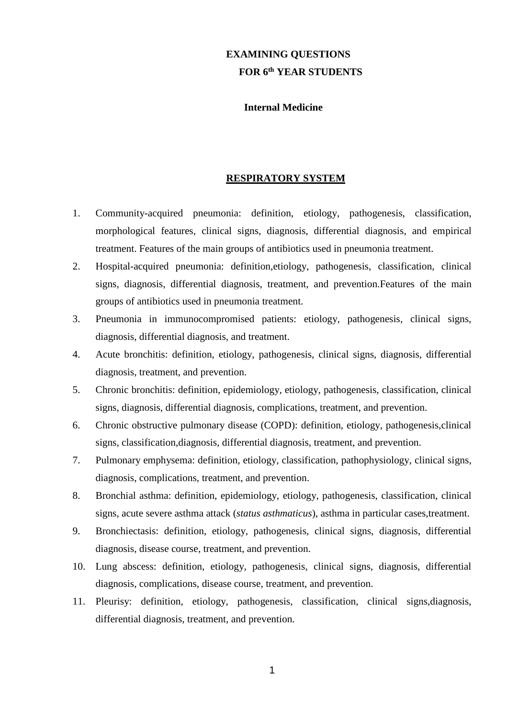# **EXAMINING QUESTIONS FOR 6 th YEAR STUDENTS**

## **Internal Medicine**

## **RESPIRATORY SYSTEM**

- 1. Community-acquired pneumonia: definition, etiology, pathogenesis, classification, morphological features, clinical signs, diagnosis, differential diagnosis, and empirical treatment. Features of the main groups of antibiotics used in pneumonia treatment.
- 2. Hospital-acquired pneumonia: definition,etiology, pathogenesis, classification, clinical signs, diagnosis, differential diagnosis, treatment, and prevention.Features of the main groups of antibiotics used in pneumonia treatment.
- 3. Pneumonia in immunocompromised patients: etiology, pathogenesis, clinical signs, diagnosis, differential diagnosis, and treatment.
- 4. Acute bronchitis: definition, etiology, pathogenesis, clinical signs, diagnosis, differential diagnosis, treatment, and prevention.
- 5. Chronic bronchitis: definition, epidemiology, etiology, pathogenesis, classification, clinical signs, diagnosis, differential diagnosis, complications, treatment, and prevention.
- 6. Chronic obstructive pulmonary disease (COPD): definition, etiology, pathogenesis,clinical signs, classification,diagnosis, differential diagnosis, treatment, and prevention.
- 7. Pulmonary emphysema: definition, etiology, classification, pathophysiology, clinical signs, diagnosis, complications, treatment, and prevention.
- 8. Bronchial asthma: definition, epidemiology, etiology, pathogenesis, classification, clinical signs, acute severe asthma attack (*status asthmaticus*), asthma in particular cases,treatment.
- 9. Bronchiectasis: definition, etiology, pathogenesis, clinical signs, diagnosis, differential diagnosis, disease course, treatment, and prevention.
- 10. Lung abscess: definition, etiology, pathogenesis, clinical signs, diagnosis, differential diagnosis, complications, disease course, treatment, and prevention.
- 11. Pleurisy: definition, etiology, pathogenesis, classification, clinical signs,diagnosis, differential diagnosis, treatment, and prevention.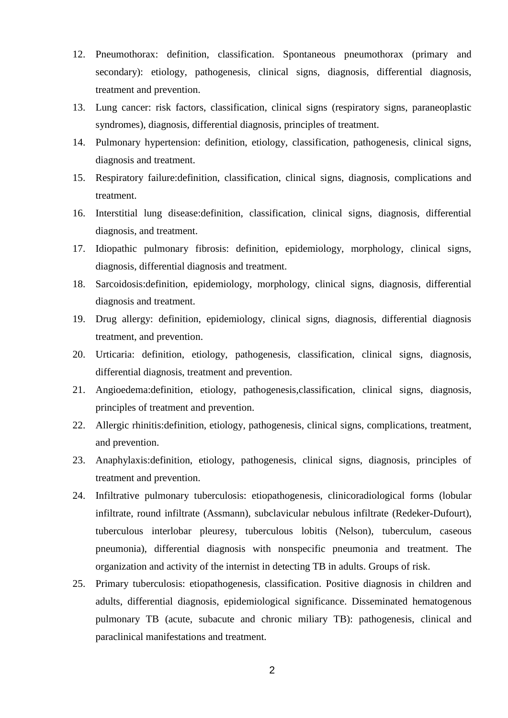- 12. Pneumothorax: definition, classification. Spontaneous pneumothorax (primary and secondary): etiology, pathogenesis, clinical signs, diagnosis, differential diagnosis, treatment and prevention.
- 13. Lung cancer: risk factors, classification, clinical signs (respiratory signs, paraneoplastic syndromes), diagnosis, differential diagnosis, principles of treatment.
- 14. Pulmonary hypertension: definition, etiology, classification, pathogenesis, clinical signs, diagnosis and treatment.
- 15. Respiratory failure:definition, classification, clinical signs, diagnosis, complications and treatment.
- 16. Interstitial lung disease:definition, classification, clinical signs, diagnosis, differential diagnosis, and treatment.
- 17. Idiopathic pulmonary fibrosis: definition, epidemiology, morphology, clinical signs, diagnosis, differential diagnosis and treatment.
- 18. Sarcoidosis:definition, epidemiology, morphology, clinical signs, diagnosis, differential diagnosis and treatment.
- 19. Drug allergy: definition, epidemiology, clinical signs, diagnosis, differential diagnosis treatment, and prevention.
- 20. Urticaria: definition, etiology, pathogenesis, classification, clinical signs, diagnosis, differential diagnosis, treatment and prevention.
- 21. Angioedema:definition, etiology, pathogenesis,classification, clinical signs, diagnosis, principles of treatment and prevention.
- 22. Allergic rhinitis:definition, etiology, pathogenesis, clinical signs, complications, treatment, and prevention.
- 23. Anaphylaxis:definition, etiology, pathogenesis, clinical signs, diagnosis, principles of treatment and prevention.
- 24. Infiltrative pulmonary tuberculosis: etiopathogenesis, clinicoradiological forms (lobular infiltrate, round infiltrate (Assmann), subclavicular nebulous infiltrate (Redeker-Dufourt), tuberculous interlobar pleuresy, tuberculous lobitis (Nelson), tuberculum, caseous pneumonia), differential diagnosis with nonspecific pneumonia and treatment. The organization and activity of the internist in detecting TB in adults. Groups of risk.
- 25. Primary tuberculosis: etiopathogenesis, classification. Positive diagnosis in children and adults, differential diagnosis, epidemiological significance. Disseminated hematogenous pulmonary TB (acute, subacute and chronic miliary TB): pathogenesis, clinical and paraclinical manifestations and treatment.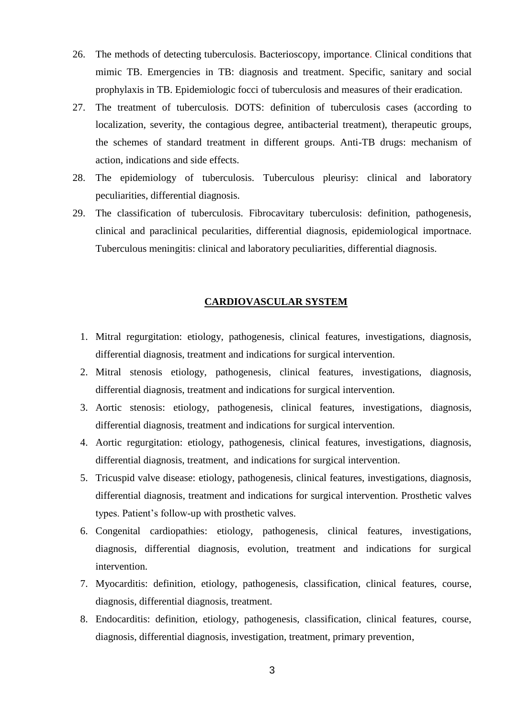- 26. The methods of detecting tuberculosis. Bacterioscopy, importance. Clinical conditions that mimic TB. Emergencies in TB: diagnosis and treatment. Specific, sanitary and social prophylaxis in TB. Epidemiologic focci of tuberculosis and measures of their eradication.
- 27. The treatment of tuberculosis. DOTS: definition of tuberculosis cases (according to localization, severity, the contagious degree, antibacterial treatment), therapeutic groups, the schemes of standard treatment in different groups. Anti-TB drugs: mechanism of action, indications and side effects.
- 28. The epidemiology of tuberculosis. Tuberculous pleurisy: clinical and laboratory peculiarities, differential diagnosis.
- 29. The classification of tuberculosis. Fibrocavitary tuberculosis: definition, pathogenesis, clinical and paraclinical pecularities, differential diagnosis, epidemiological importnace. Tuberculous meningitis: clinical and laboratory peculiarities, differential diagnosis.

#### **CARDIOVASCULAR SYSTEM**

- 1. Mitral regurgitation: etiology, pathogenesis, clinical features, investigations, diagnosis, differential diagnosis, treatment and indications for surgical intervention.
- 2. Mitral stenosis etiology, pathogenesis, clinical features, investigations, diagnosis, differential diagnosis, treatment and indications for surgical intervention.
- 3. Aortic stenosis: etiology, pathogenesis, clinical features, investigations, diagnosis, differential diagnosis, treatment and indications for surgical intervention.
- 4. Aortic regurgitation: etiology, pathogenesis, clinical features, investigations, diagnosis, differential diagnosis, treatment, and indications for surgical intervention.
- 5. Tricuspid valve disease: etiology, pathogenesis, clinical features, investigations, diagnosis, differential diagnosis, treatment and indications for surgical intervention. Prosthetic valves types. Patient's follow-up with prosthetic valves.
- 6. Congenital cardiopathies: etiology, pathogenesis, clinical features, investigations, diagnosis, differential diagnosis, evolution, treatment and indications for surgical intervention.
- 7. Myocarditis: definition, etiology, pathogenesis, classification, clinical features, course, diagnosis, differential diagnosis, treatment.
- 8. Endocarditis: definition, etiology, pathogenesis, classification, clinical features, course, diagnosis, differential diagnosis, investigation, treatment, primary prevention,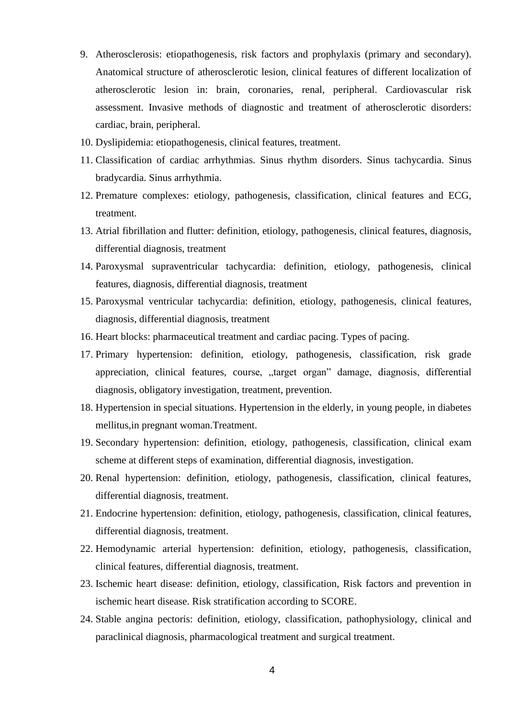- 9. Atherosclerosis: etiopathogenesis, risk factors and prophylaxis (primary and secondary). Anatomical structure of atherosclerotic lesion, clinical features of different localization of atherosclerotic lesion in: brain, coronaries, renal, peripheral. Cardiovascular risk assessment. Invasive methods of diagnostic and treatment of atherosclerotic disorders: cardiac, brain, peripheral.
- 10. Dyslipidemia: etiopathogenesis, clinical features, treatment.
- 11. Classification of cardiac arrhythmias. Sinus rhythm disorders. Sinus tachycardia. Sinus bradycardia. Sinus arrhythmia.
- 12. Premature complexes: etiology, pathogenesis, classification, clinical features and ECG, treatment.
- 13. Atrial fibrillation and flutter: definition, etiology, pathogenesis, clinical features, diagnosis, differential diagnosis, treatment
- 14. Paroxysmal supraventricular tachycardia: definition, etiology, pathogenesis, clinical features, diagnosis, differential diagnosis, treatment
- 15. Paroxysmal ventricular tachycardia: definition, etiology, pathogenesis, clinical features, diagnosis, differential diagnosis, treatment
- 16. Heart blocks: pharmaceutical treatment and cardiac pacing. Types of pacing.
- 17. Primary hypertension: definition, etiology, pathogenesis, classification, risk grade appreciation, clinical features, course, "target organ" damage, diagnosis, differential diagnosis, obligatory investigation, treatment, prevention.
- 18. Hypertension in special situations. Hypertension in the elderly, in young people, in diabetes mellitus,in pregnant woman.Treatment.
- 19. Secondary hypertension: definition, etiology, pathogenesis, classification, clinical exam scheme at different steps of examination, differential diagnosis, investigation.
- 20. Renal hypertension: definition, etiology, pathogenesis, classification, clinical features, differential diagnosis, treatment.
- 21. Endocrine hypertension: definition, etiology, pathogenesis, classification, clinical features, differential diagnosis, treatment.
- 22. Hemodynamic arterial hypertension: definition, etiology, pathogenesis, classification, clinical features, differential diagnosis, treatment.
- 23. Ischemic heart disease: definition, etiology, classification, Risk factors and prevention in ischemic heart disease. Risk stratification according to SCORE.
- 24. Stable angina pectoris: definition, etiology, classification, pathophysiology, clinical and paraclinical diagnosis, pharmacological treatment and surgical treatment.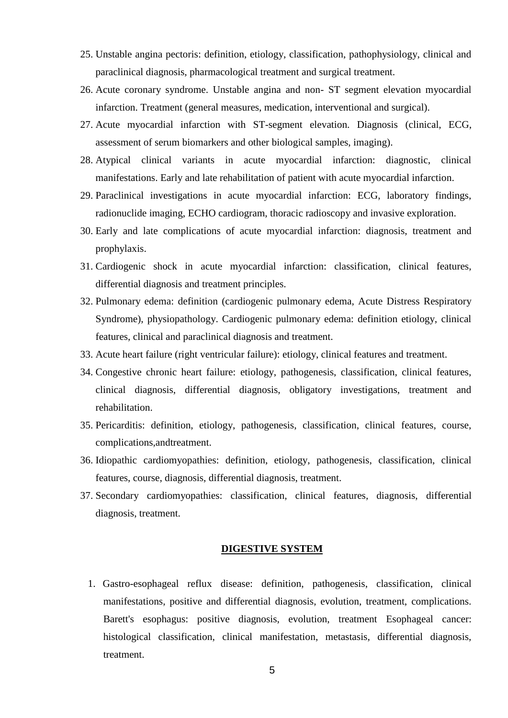- 25. Unstable angina pectoris: definition, etiology, classification, pathophysiology, clinical and paraclinical diagnosis, pharmacological treatment and surgical treatment.
- 26. Acute coronary syndrome. Unstable angina and non- ST segment elevation myocardial infarction. Treatment (general measures, medication, interventional and surgical).
- 27. Acute myocardial infarction with ST-segment elevation. Diagnosis (clinical, ECG, assessment of serum biomarkers and other biological samples, imaging).
- 28. Atypical clinical variants in acute myocardial infarction: diagnostic, clinical manifestations. Early and late rehabilitation of patient with acute myocardial infarction.
- 29. Paraclinical investigations in acute myocardial infarction: ECG, laboratory findings, radionuclide imaging, ECHO cardiogram, thoracic radioscopy and invasive exploration.
- 30. Early and late complications of acute myocardial infarction: diagnosis, treatment and prophylaxis.
- 31. Cardiogenic shock in acute myocardial infarction: classification, clinical features, differential diagnosis and treatment principles.
- 32. Pulmonary edema: definition (cardiogenic pulmonary edema, Acute Distress Respiratory Syndrome), physiopathology. Cardiogenic pulmonary edema: definition etiology, clinical features, clinical and paraclinical diagnosis and treatment.
- 33. Acute heart failure (right ventricular failure): etiology, clinical features and treatment.
- 34. Congestive chronic heart failure: etiology, pathogenesis, classification, clinical features, clinical diagnosis, differential diagnosis, obligatory investigations, treatment and rehabilitation.
- 35. Pericarditis: definition, etiology, pathogenesis, classification, clinical features, course, complications,andtreatment.
- 36. Idiopathic cardiomyopathies: definition, etiology, pathogenesis, classification, clinical features, course, diagnosis, differential diagnosis, treatment.
- 37. Secondary cardiomyopathies: classification, clinical features, diagnosis, differential diagnosis, treatment.

## **DIGESTIVE SYSTEM**

1. Gastro-esophageal reflux disease: definition, pathogenesis, classification, clinical manifestations, positive and differential diagnosis, evolution, treatment, complications. Barett's esophagus: positive diagnosis, evolution, treatment Esophageal cancer: histological classification, clinical manifestation, metastasis, differential diagnosis, treatment.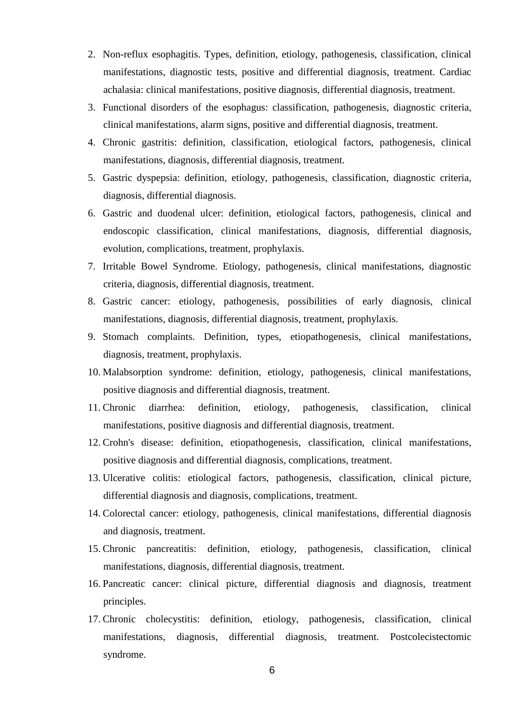- 2. Non-reflux esophagitis. Types, definition, etiology, pathogenesis, classification, clinical manifestations, diagnostic tests, positive and differential diagnosis, treatment. Cardiac achalasia: clinical manifestations, positive diagnosis, differential diagnosis, treatment.
- 3. Functional disorders of the esophagus: classification, pathogenesis, diagnostic criteria, clinical manifestations, alarm signs, positive and differential diagnosis, treatment.
- 4. Chronic gastritis: definition, classification, etiological factors, pathogenesis, clinical manifestations, diagnosis, differential diagnosis, treatment.
- 5. Gastric dyspepsia: definition, etiology, pathogenesis, classification, diagnostic criteria, diagnosis, differential diagnosis.
- 6. Gastric and duodenal ulcer: definition, etiological factors, pathogenesis, clinical and endoscopic classification, clinical manifestations, diagnosis, differential diagnosis, evolution, complications, treatment, prophylaxis.
- 7. Irritable Bowel Syndrome. Etiology, pathogenesis, clinical manifestations, diagnostic criteria, diagnosis, differential diagnosis, treatment.
- 8. Gastric cancer: etiology, pathogenesis, possibilities of early diagnosis, clinical manifestations, diagnosis, differential diagnosis, treatment, prophylaxis.
- 9. Stomach complaints. Definition, types, etiopathogenesis, clinical manifestations, diagnosis, treatment, prophylaxis.
- 10. Malabsorption syndrome: definition, etiology, pathogenesis, clinical manifestations, positive diagnosis and differential diagnosis, treatment.
- 11. Chronic diarrhea: definition, etiology, pathogenesis, classification, clinical manifestations, positive diagnosis and differential diagnosis, treatment.
- 12. Crohn's disease: definition, etiopathogenesis, classification, clinical manifestations, positive diagnosis and differential diagnosis, complications, treatment.
- 13. Ulcerative colitis: etiological factors, pathogenesis, classification, clinical picture, differential diagnosis and diagnosis, complications, treatment.
- 14. Colorectal cancer: etiology, pathogenesis, clinical manifestations, differential diagnosis and diagnosis, treatment.
- 15. Chronic pancreatitis: definition, etiology, pathogenesis, classification, clinical manifestations, diagnosis, differential diagnosis, treatment.
- 16. Pancreatic cancer: clinical picture, differential diagnosis and diagnosis, treatment principles.
- 17. Chronic cholecystitis: definition, etiology, pathogenesis, classification, clinical manifestations, diagnosis, differential diagnosis, treatment. Postcolecistectomic syndrome.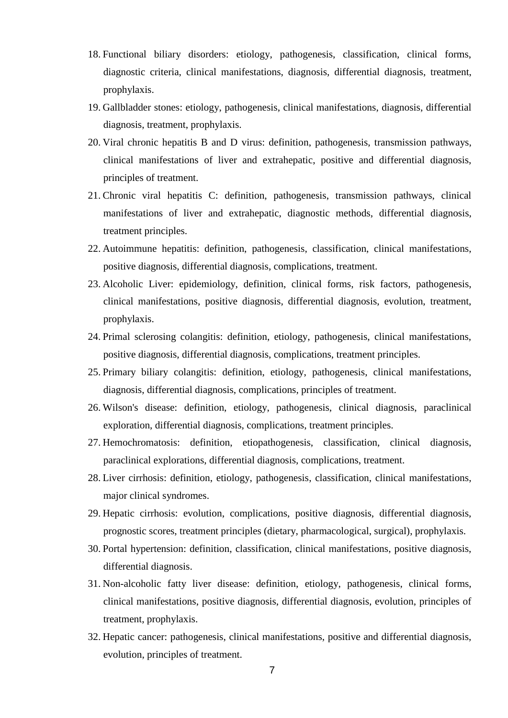- 18. Functional biliary disorders: etiology, pathogenesis, classification, clinical forms, diagnostic criteria, clinical manifestations, diagnosis, differential diagnosis, treatment, prophylaxis.
- 19. Gallbladder stones: etiology, pathogenesis, clinical manifestations, diagnosis, differential diagnosis, treatment, prophylaxis.
- 20. Viral chronic hepatitis B and D virus: definition, pathogenesis, transmission pathways, clinical manifestations of liver and extrahepatic, positive and differential diagnosis, principles of treatment.
- 21. Chronic viral hepatitis C: definition, pathogenesis, transmission pathways, clinical manifestations of liver and extrahepatic, diagnostic methods, differential diagnosis, treatment principles.
- 22. Autoimmune hepatitis: definition, pathogenesis, classification, clinical manifestations, positive diagnosis, differential diagnosis, complications, treatment.
- 23. Alcoholic Liver: epidemiology, definition, clinical forms, risk factors, pathogenesis, clinical manifestations, positive diagnosis, differential diagnosis, evolution, treatment, prophylaxis.
- 24. Primal sclerosing colangitis: definition, etiology, pathogenesis, clinical manifestations, positive diagnosis, differential diagnosis, complications, treatment principles.
- 25. Primary biliary colangitis: definition, etiology, pathogenesis, clinical manifestations, diagnosis, differential diagnosis, complications, principles of treatment.
- 26. Wilson's disease: definition, etiology, pathogenesis, clinical diagnosis, paraclinical exploration, differential diagnosis, complications, treatment principles.
- 27. Hemochromatosis: definition, etiopathogenesis, classification, clinical diagnosis, paraclinical explorations, differential diagnosis, complications, treatment.
- 28. Liver cirrhosis: definition, etiology, pathogenesis, classification, clinical manifestations, major clinical syndromes.
- 29. Hepatic cirrhosis: evolution, complications, positive diagnosis, differential diagnosis, prognostic scores, treatment principles (dietary, pharmacological, surgical), prophylaxis.
- 30. Portal hypertension: definition, classification, clinical manifestations, positive diagnosis, differential diagnosis.
- 31. Non-alcoholic fatty liver disease: definition, etiology, pathogenesis, clinical forms, clinical manifestations, positive diagnosis, differential diagnosis, evolution, principles of treatment, prophylaxis.
- 32. Hepatic cancer: pathogenesis, clinical manifestations, positive and differential diagnosis, evolution, principles of treatment.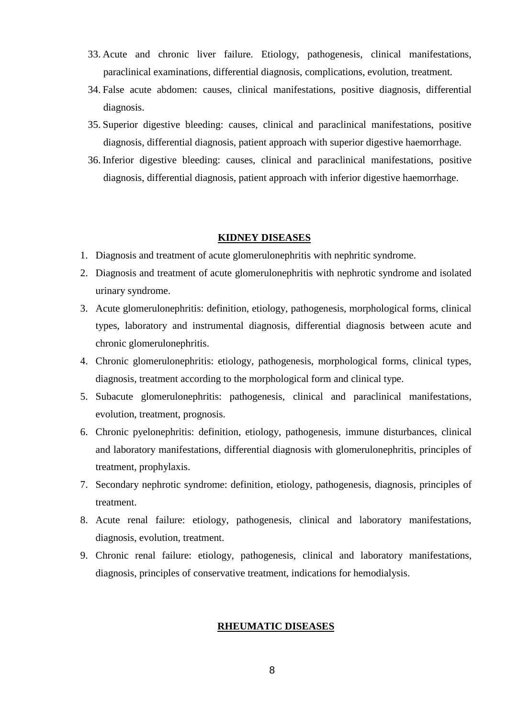- 33. Acute and chronic liver failure. Etiology, pathogenesis, clinical manifestations, paraclinical examinations, differential diagnosis, complications, evolution, treatment.
- 34. False acute abdomen: causes, clinical manifestations, positive diagnosis, differential diagnosis.
- 35. Superior digestive bleeding: causes, clinical and paraclinical manifestations, positive diagnosis, differential diagnosis, patient approach with superior digestive haemorrhage.
- 36. Inferior digestive bleeding: causes, clinical and paraclinical manifestations, positive diagnosis, differential diagnosis, patient approach with inferior digestive haemorrhage.

#### **KIDNEY DISEASES**

- 1. Diagnosis and treatment of acute glomerulonephritis with nephritic syndrome.
- 2. Diagnosis and treatment of acute glomerulonephritis with nephrotic syndrome and isolated urinary syndrome.
- 3. Acute glomerulonephritis: definition, etiology, pathogenesis, morphological forms, clinical types, laboratory and instrumental diagnosis, differential diagnosis between acute and chronic glomerulonephritis.
- 4. Chronic glomerulonephritis: etiology, pathogenesis, morphological forms, clinical types, diagnosis, treatment according to the morphological form and clinical type.
- 5. Subacute glomerulonephritis: pathogenesis, clinical and paraclinical manifestations, evolution, treatment, prognosis.
- 6. Chronic pyelonephritis: definition, etiology, pathogenesis, immune disturbances, clinical and laboratory manifestations, differential diagnosis with glomerulonephritis, principles of treatment, prophylaxis.
- 7. Secondary nephrotic syndrome: definition, etiology, pathogenesis, diagnosis, principles of treatment.
- 8. Acute renal failure: etiology, pathogenesis, clinical and laboratory manifestations, diagnosis, evolution, treatment.
- 9. Chronic renal failure: etiology, pathogenesis, clinical and laboratory manifestations, diagnosis, principles of conservative treatment, indications for hemodialysis.

## **RHEUMATIC DISEASES**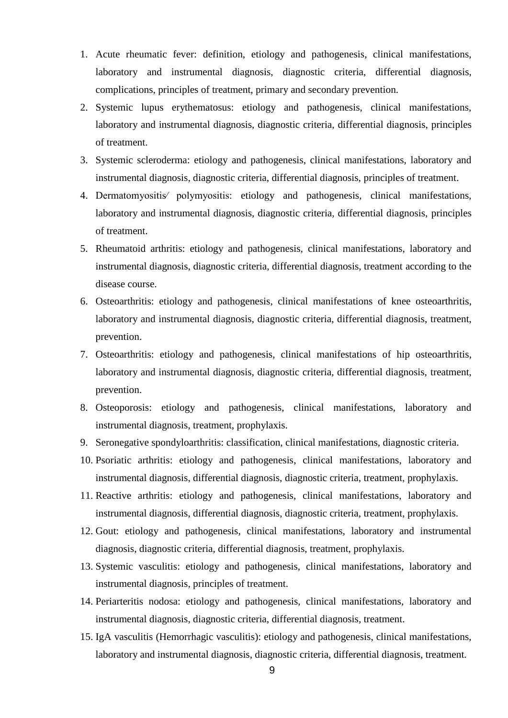- 1. Acute rheumatic fever: definition, etiology and pathogenesis, clinical manifestations, laboratory and instrumental diagnosis, diagnostic criteria, differential diagnosis, complications, principles of treatment, primary and secondary prevention.
- 2. Systemic lupus erythematosus: etiology and pathogenesis, clinical manifestations, laboratory and instrumental diagnosis, diagnostic criteria, differential diagnosis, principles of treatment.
- 3. Systemic scleroderma: etiology and pathogenesis, clinical manifestations, laboratory and instrumental diagnosis, diagnostic criteria, differential diagnosis, principles of treatment.
- 4. Dermatomyositis⁄ polymyositis: etiology and pathogenesis, clinical manifestations, laboratory and instrumental diagnosis, diagnostic criteria, differential diagnosis, principles of treatment.
- 5. Rheumatoid arthritis: etiology and pathogenesis, clinical manifestations, laboratory and instrumental diagnosis, diagnostic criteria, differential diagnosis, treatment according to the disease course.
- 6. Osteoarthritis: etiology and pathogenesis, clinical manifestations of knee osteoarthritis, laboratory and instrumental diagnosis, diagnostic criteria, differential diagnosis, treatment, prevention.
- 7. Osteoarthritis: etiology and pathogenesis, clinical manifestations of hip osteoarthritis, laboratory and instrumental diagnosis, diagnostic criteria, differential diagnosis, treatment, prevention.
- 8. Osteoporosis: etiology and pathogenesis, clinical manifestations, laboratory and instrumental diagnosis, treatment, prophylaxis.
- 9. Seronegative spondyloarthritis: classification, clinical manifestations, diagnostic criteria.
- 10. Psoriatic arthritis: etiology and pathogenesis, clinical manifestations, laboratory and instrumental diagnosis, differential diagnosis, diagnostic criteria, treatment, prophylaxis.
- 11. Reactive arthritis: etiology and pathogenesis, clinical manifestations, laboratory and instrumental diagnosis, differential diagnosis, diagnostic criteria, treatment, prophylaxis.
- 12. Gout: etiology and pathogenesis, clinical manifestations, laboratory and instrumental diagnosis, diagnostic criteria, differential diagnosis, treatment, prophylaxis.
- 13. Systemic vasculitis: etiology and pathogenesis, clinical manifestations, laboratory and instrumental diagnosis, principles of treatment.
- 14. Periarteritis nodosa: etiology and pathogenesis, clinical manifestations, laboratory and instrumental diagnosis, diagnostic criteria, differential diagnosis, treatment.
- 15. IgA vasculitis (Hemorrhagic vasculitis): etiology and pathogenesis, clinical manifestations, laboratory and instrumental diagnosis, diagnostic criteria, differential diagnosis, treatment.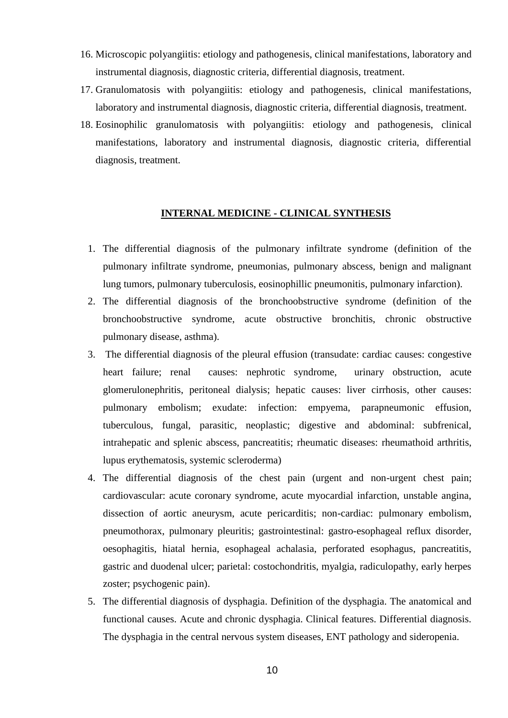- 16. Microscopic polyangiitis: etiology and pathogenesis, clinical manifestations, laboratory and instrumental diagnosis, diagnostic criteria, differential diagnosis, treatment.
- 17. Granulomatosis with polyangiitis: etiology and pathogenesis, clinical manifestations, laboratory and instrumental diagnosis, diagnostic criteria, differential diagnosis, treatment.
- 18. Eosinophilic granulomatosis with polyangiitis: etiology and pathogenesis, clinical manifestations, laboratory and instrumental diagnosis, diagnostic criteria, differential diagnosis, treatment.

## **INTERNAL MEDICINE - CLINICAL SYNTHESIS**

- 1. The differential diagnosis of the pulmonary infiltrate syndrome (definition of the pulmonary infiltrate syndrome, pneumonias, pulmonary abscess, benign and malignant lung tumors, pulmonary tuberculosis, eosinophillic pneumonitis, pulmonary infarction).
- 2. The differential diagnosis of the bronchoobstructive syndrome (definition of the bronchoobstructive syndrome, acute obstructive bronchitis, chronic obstructive pulmonary disease, asthma).
- 3. The differential diagnosis of the pleural effusion (transudate: cardiac causes: congestive heart failure; renal causes: nephrotic syndrome, urinary obstruction, acute glomerulonephritis, peritoneal dialysis; hepatic causes: liver cirrhosis, other causes: pulmonary embolism; exudate: infection: empyema, parapneumonic effusion, tuberculous, fungal, parasitic, neoplastic; digestive and abdominal: subfrenical, intrahepatic and splenic abscess, pancreatitis; rheumatic diseases: rheumathoid arthritis, lupus erythematosis, systemic scleroderma)
- 4. The differential diagnosis of the chest pain (urgent and non-urgent chest pain; cardiovascular: acute coronary syndrome, acute myocardial infarction, unstable angina, dissection of aortic aneurysm, acute pericarditis; non-cardiac: pulmonary embolism, pneumothorax, pulmonary pleuritis; gastrointestinal: gastro-esophageal reflux disorder, oesophagitis, hiatal hernia, esophageal achalasia, perforated esophagus, pancreatitis, gastric and duodenal ulcer; parietal: costochondritis, myalgia, radiculopathy, early herpes zoster; psychogenic pain).
- 5. The differential diagnosis of dysphagia. Definition of the dysphagia. The anatomical and functional causes. Acute and chronic dysphagia. Clinical features. Differential diagnosis. The dysphagia in the central nervous system diseases, ENT pathology and sideropenia.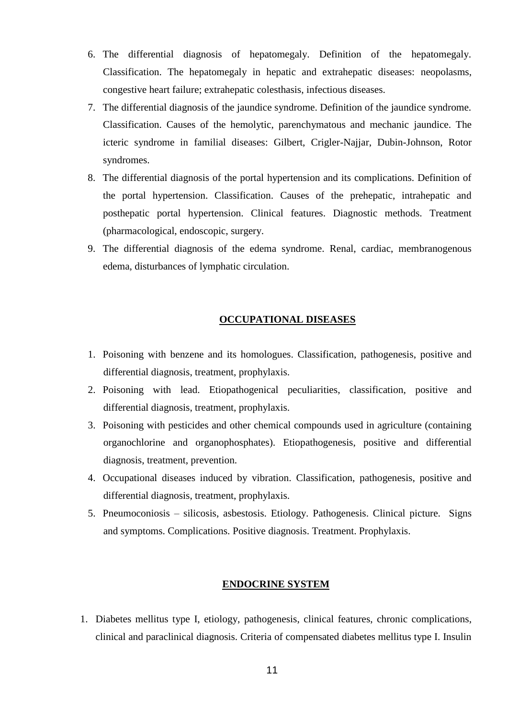- 6. The differential diagnosis of hepatomegaly. Definition of the hepatomegaly. Classification. The hepatomegaly in hepatic and extrahepatic diseases: neopolasms, congestive heart failure; extrahepatic colesthasis, infectious diseases.
- 7. The differential diagnosis of the jaundice syndrome. Definition of the jaundice syndrome. Classification. Causes of the hemolytic, parenchymatous and mechanic jaundice. The icteric syndrome in familial diseases: Gilbert, Crigler-Najjar, Dubin-Johnson, Rotor syndromes.
- 8. The differential diagnosis of the portal hypertension and its complications. Definition of the portal hypertension. Classification. Causes of the prehepatic, intrahepatic and posthepatic portal hypertension. Clinical features. Diagnostic methods. Treatment (pharmacological, endoscopic, surgery.
- 9. The differential diagnosis of the edema syndrome. Renal, cardiac, membranogenous edema, disturbances of lymphatic circulation.

## **OCCUPATIONAL DISEASES**

- 1. Poisoning with benzene and its homologues. Classification, pathogenesis, positive and differential diagnosis, treatment, prophylaxis.
- 2. Poisoning with lead. Etiopathogenical peculiarities, classification, positive and differential diagnosis, treatment, prophylaxis.
- 3. Poisoning with pesticides and other chemical compounds used in agriculture (containing organochlorine and organophosphates). Etiopathogenesis, positive and differential diagnosis, treatment, prevention.
- 4. Occupational diseases induced by vibration. Classification, pathogenesis, positive and differential diagnosis, treatment, prophylaxis.
- 5. Pneumoconiosis silicosis, asbestosis. Etiology. Pathogenesis. Clinical picture. Signs and symptoms. Complications. Positive diagnosis. Treatment. Prophylaxis.

#### **ENDOCRINE SYSTEM**

1. Diabetes mellitus type I, etiology, pathogenesis, clinical features, chronic complications, clinical and paraclinical diagnosis. Criteria of compensated diabetes mellitus type I. Insulin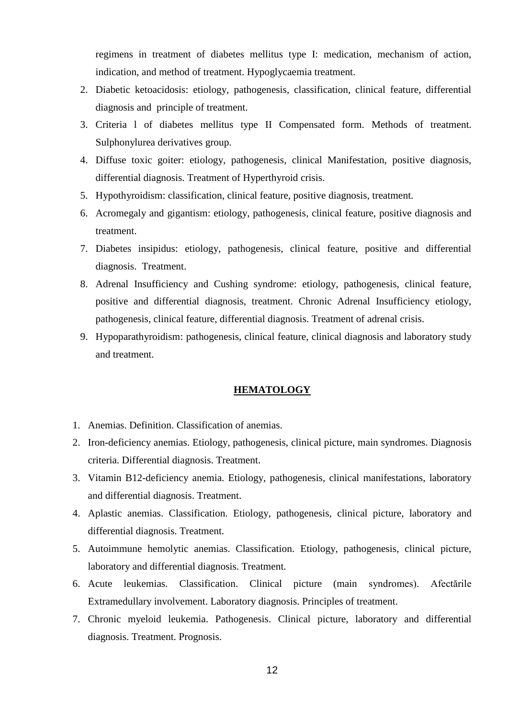regimens in treatment of diabetes mellitus type I: medication, mechanism of action, indication, and method of treatment. Hypoglycaemia treatment.

- 2. Diabetic ketoacidosis: etiology, pathogenesis, classification, clinical feature, differential diagnosis and principle of treatment.
- 3. Criteria l of diabetes mellitus type II Compensated form. Methods of treatment. Sulphonylurea derivatives group.
- 4. Diffuse toxic goiter: etiology, pathogenesis, clinical Manifestation, positive diagnosis, differential diagnosis. Treatment of Hyperthyroid crisis.
- 5. Hypothyroidism: classification, clinical feature, positive diagnosis, treatment.
- 6. Acromegaly and gigantism: etiology, pathogenesis, clinical feature, positive diagnosis and treatment.
- 7. Diabetes insipidus: etiology, pathogenesis, clinical feature, positive and differential diagnosis. Treatment.
- 8. Adrenal Insufficiency and Cushing syndrome: etiology, pathogenesis, clinical feature, positive and differential diagnosis, treatment. Chronic Adrenal Insufficiency etiology, pathogenesis, clinical feature, differential diagnosis. Treatment of adrenal crisis.
- 9. Hypoparathyroidism: pathogenesis, clinical feature, clinical diagnosis and laboratory study and treatment.

## **HEMATOLOGY**

- 1. Anemias. Definition. Classification of anemias.
- 2. Iron-deficiency anemias. Etiology, pathogenesis, clinical picture, main syndromes. Diagnosis criteria. Differential diagnosis. Treatment.
- 3. Vitamin B12-deficiency anemia. Etiology, pathogenesis, clinical manifestations, laboratory and differential diagnosis. Treatment.
- 4. Aplastic anemias. Classification. Etiology, pathogenesis, clinical picture, laboratory and differential diagnosis. Treatment.
- 5. Autoimmune hemolytic anemias. Classification. Etiology, pathogenesis, clinical picture, laboratory and differential diagnosis. Treatment.
- 6. Acute leukemias. Classification. Clinical picture (main syndromes). Afectările Extramedullary involvement. Laboratory diagnosis. Principles of treatment.
- 7. Chronic myeloid leukemia. Pathogenesis. Clinical picture, laboratory and differential diagnosis. Treatment. Prognosis.